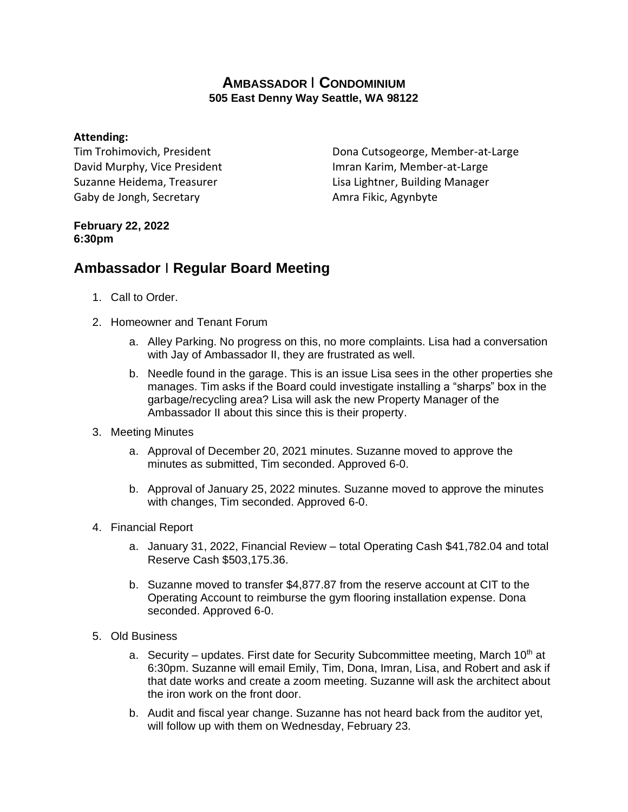## **AMBASSADOR** I **CONDOMINIUM 505 East Denny Way Seattle, WA 98122**

## **Attending:**

Tim Trohimovich, President David Murphy, Vice President Suzanne Heidema, Treasurer Gaby de Jongh, Secretary

Dona Cutsogeorge, Member-at-Large Imran Karim, Member-at-Large Lisa Lightner, Building Manager Amra Fikic, Agynbyte

## **February 22, 2022 6:30pm**

## **Ambassador** I **Regular Board Meeting**

- 1. Call to Order.
- 2. Homeowner and Tenant Forum
	- a. Alley Parking. No progress on this, no more complaints. Lisa had a conversation with Jay of Ambassador II, they are frustrated as well.
	- b. Needle found in the garage. This is an issue Lisa sees in the other properties she manages. Tim asks if the Board could investigate installing a "sharps" box in the garbage/recycling area? Lisa will ask the new Property Manager of the Ambassador II about this since this is their property.
- 3. Meeting Minutes
	- a. Approval of December 20, 2021 minutes. Suzanne moved to approve the minutes as submitted, Tim seconded. Approved 6-0.
	- b. Approval of January 25, 2022 minutes. Suzanne moved to approve the minutes with changes, Tim seconded. Approved 6-0.
- 4. Financial Report
	- a. January 31, 2022, Financial Review total Operating Cash \$41,782.04 and total Reserve Cash \$503,175.36.
	- b. Suzanne moved to transfer \$4,877.87 from the reserve account at CIT to the Operating Account to reimburse the gym flooring installation expense. Dona seconded. Approved 6-0.
- 5. Old Business
	- a. Security updates. First date for Security Subcommittee meeting, March  $10<sup>th</sup>$  at 6:30pm. Suzanne will email Emily, Tim, Dona, Imran, Lisa, and Robert and ask if that date works and create a zoom meeting. Suzanne will ask the architect about the iron work on the front door.
	- b. Audit and fiscal year change. Suzanne has not heard back from the auditor yet, will follow up with them on Wednesday, February 23.